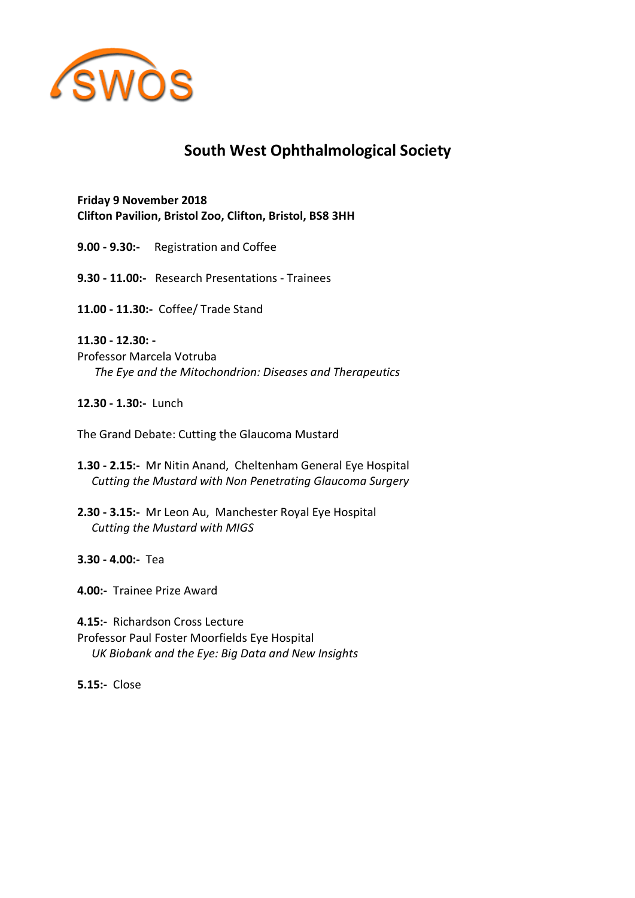

# **South West Ophthalmological Society**

**Friday 9 November 2018 Clifton Pavilion, Bristol Zoo, Clifton, Bristol, BS8 3HH**

**9.00 - 9.30:-** Registration and Coffee

**9.30 - 11.00:-** Research Presentations - Trainees

**11.00 - 11.30:-** Coffee/ Trade Stand

## **11.30 - 12.30: -**

Professor Marcela Votruba  *The Eye and the Mitochondrion: Diseases and Therapeutics*

**12.30 - 1.30:-** Lunch

The Grand Debate: Cutting the Glaucoma Mustard

- **1.30 - 2.15:-** Mr Nitin Anand, Cheltenham General Eye Hospital  *Cutting the Mustard with Non Penetrating Glaucoma Surgery*
- **2.30 - 3.15:-** Mr Leon Au, Manchester Royal Eye Hospital  *Cutting the Mustard with MIGS*

**3.30 - 4.00:-** Tea

**4.00:-** Trainee Prize Award

**4.15:-** Richardson Cross Lecture Professor Paul Foster Moorfields Eye Hospital  *UK Biobank and the Eye: Big Data and New Insights*

**5.15:-** Close